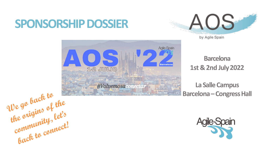# **SPONSORSHIP DOSSIER**





**Barcelona 1st &2nd July 2022**

**La Salle Campus Barcelona –Congress Hall**

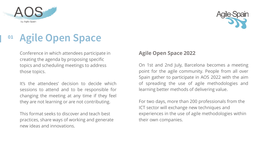



# **<sup>01</sup> Agile Open Space**

Conference in which attendees participate in creating the agenda by proposing specific topics and scheduling meetings to address those topics.

It's the attendees' decision to decide which sessions to attend and to be responsible for changing the meeting at any time if they feel they are not learning or are not contributing.

This format seeks to discover and teach best practices, share ways of working and generate new ideas and innovations.

#### **Agile Open Space 2022**

On 1st and 2nd July, Barcelona becomes a meeting point for the agile community. People from all over Spain gather to participate in AOS 2022 with the aim of spreading the use of agile methodologies and learning better methods of delivering value.

For two days, more than 200 professionals from the ICT sector will exchange new techniques and experiences in the use of agile methodologies within their own companies.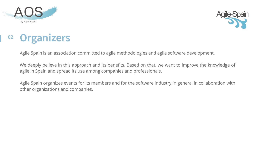



## **Organizers <sup>02</sup>**

Agile Spain is an association committed to agile methodologies and agile software development.

We deeply believe in this approach and its benefits. Based on that, we want to improve the knowledge of agile in Spain and spread its use among companies and professionals.

Agile Spain organizes events for its members and for the software industry in general in collaboration with other organizations and companies.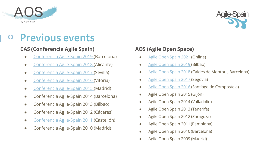



### **Previous events <sup>03</sup>**

#### **CAS (Conferencia Agile Spain)**

- Conferencia [Agile-Spain 2019](https://cas2019.agile-spain.org/) (Barcelona)
- [Conferencia Agile-Spain 2018](https://cas2018.agile-spain.org/) (Alicante)
- [Conferencia Agile-Spain 2017](http://cas2017.agile-spain.org/) (Sevilla)
- [Conferencia Agile-Spain](https://cas2016.agile-spain.org/) 2016 (Vitoria)
- [Conferencia Agile-Spain 2015 \(](https://cas2015.agile-spain.org/charlas-y-videos/)Madrid)
- Conferencia Agile-Spain 2014 (Barcelona)
- Conferencia Agile-Spain 2013 (Bilbao)
- Conferencia Agile-Spain 2012 (Cáceres)
- [Conferencia Agile-Spain 2011 \(](https://conferencia2011.agile-spain.org/)Castellón)
- Conferencia Agile-Spain 2010 (Madrid)

### **AOS (Agile Open Space)**

- [Agile Open Spain 2021 \(](https://agile-spain.org/aos21/)Online)
- [Agile Open Spain 2019 \(](https://aos2019.agile-spain.org/)Bilbao)
- [Agile Open Spain 2018 \(](https://aos2018.agile-spain.org/)Caldes de Montbui, Barcelona)
- [Agile Open Spain 2017 \(](http://aos2017.agile-spain.org/)Segovia)
- [Agile Open Spain 2016 \(](http://aos2016.agile-spain.org/)Santiago de Compostela)
- Agile Open Spain 2015 (Gijón)
- Agile Open Spain 2014 (Valladolid)
- Agile Open Spain 2013 (Tenerife)
- Agile Open Spain 2012 (Zaragoza)
- Agile Open Spain 2011 (Pamplona)
- Agile Open Spain 2010 (Barcelona)
- Agile Open Spain 2009 (Madrid)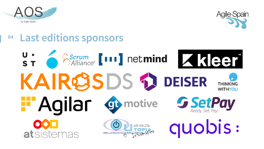



### **Last editions sponsors**

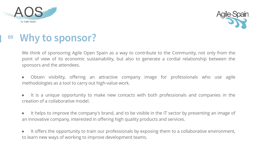



#### **Why to sponsor? 05**

We think of sponsoring Agile Open Spain as a way to contribute to the Community, not only from the point of view of its economic sustainability, but also to generate a cordial relationship between the sponsors and the attendees.

- Obtain visibility, offering an attractive company image for professionals who use agile methodologies as a tool to carry out high-value work.
- It is a unique opportunity to make new contacts with both professionals and companies in the creation of a collaborative model.
- It helps to improve the company's brand, and to be visible in the IT sector by presenting an image of an innovative company, interested in offering high quality products and services.
- It offers the opportunity to train our professionals by exposing them to a collaborative environment, to learn new ways of working to improve development teams.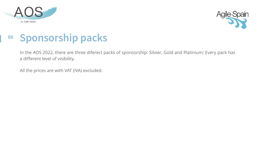



### **Sponsorship packs <sup>06</sup>**

In the AOS 2022, there are three diferect packs of sponsorship: Silvier, Gold and Platinium; Every pack has a different level of visibility.

All the prices are with VAT (IVA) excluded.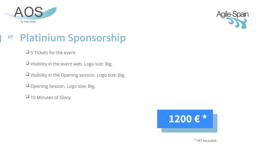



## **<sup>07</sup> Platinium Sponsorship**

❑ 5 Tickets for the event.

❑ Visibility in the event web. Logo size: Big.

❑ Visibility in the Opening session. Logo size: Big.

❑ Opening Session. Logo size: Big.

❑ 10 Minutes of Glory.

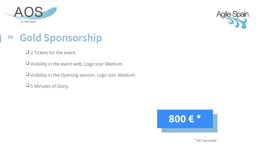



# **<sup>08</sup> Gold Sponsorship**

❑ 2 Tickets for the event.

❑ Visibility in the event web. Logo size: Medium.

❑ Visibility in the Opening session. Logo size: Medium.

❑ 5 Minutes of Glory.



\* VAT excluded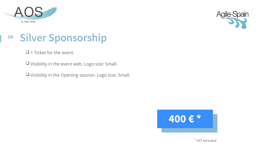



# **<sup>09</sup> Silver Sponsorship**

❑ 1 Ticket for the event.

❑ Visibility in the event web. Logo size: Small.

❑ Visibility in the Opening session. Logo size: Small.



\* VAT excluded